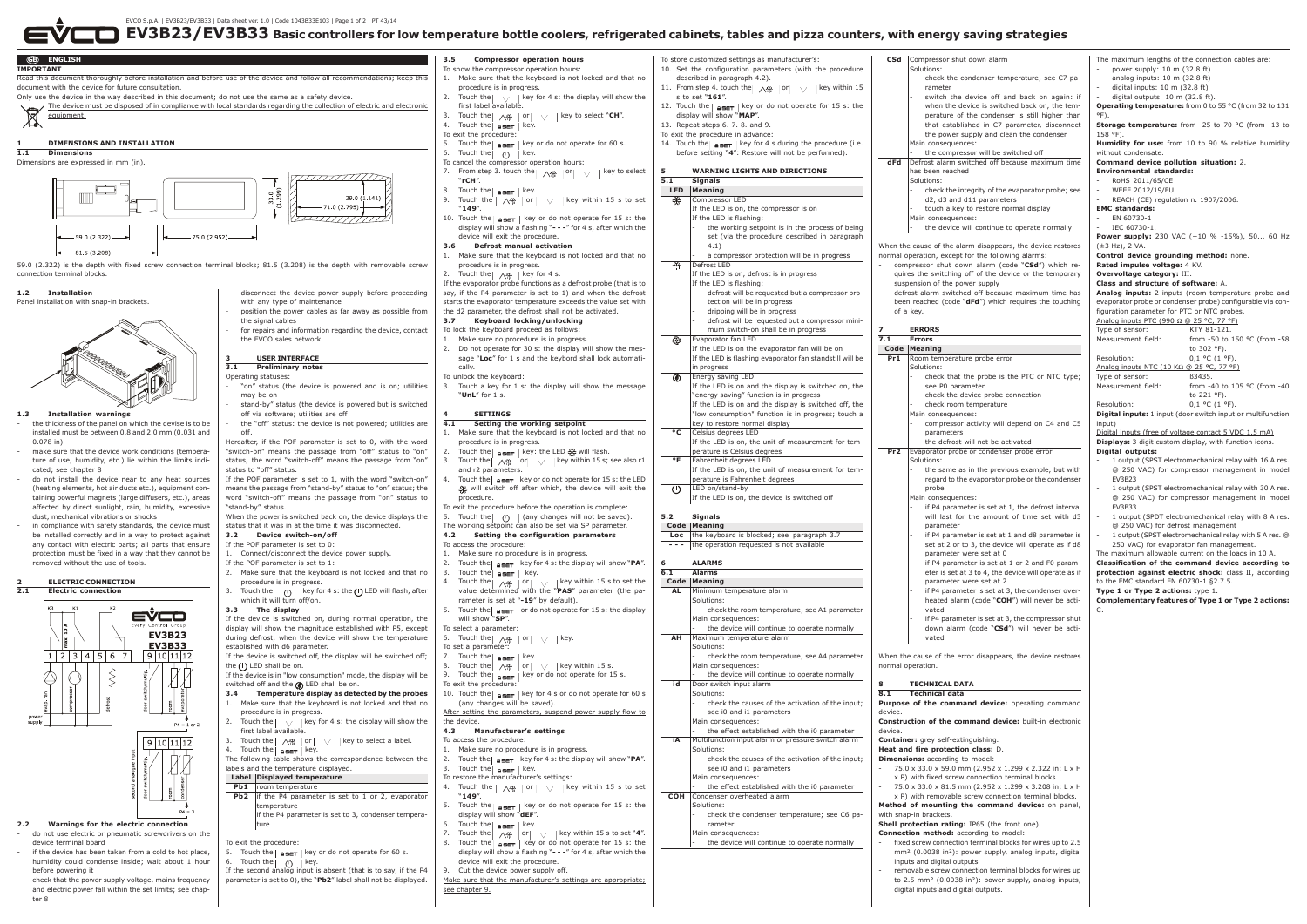EVCO S.p.A. | EV3B23/EV3B33 | Data sheet ver. 1.0 | Code 1043B33E103 | Page 1 of 2 | PT 43/14

3. Touch the  $\sqrt{25}$  key. To restore the manufacturer's settings:

display will show "**dEF**". Touch the  $\sqrt{25.6}$  key.

Touch the  $\begin{bmatrix} 1 & -1 \\ \sqrt{m} & n \end{bmatrix}$  or  $\begin{bmatrix} 1 & x \\ y & x \end{bmatrix}$  key within 15 s to set "4". Touch the  $\frac{45.7}{45.7}$  key or do not operate for 15 s: the display will show a flashing "**- - -**" for 4 s, after which the

"**149**".

device will exit the procedure.

rameter Main consequences:

switch the device off and hack on again: if when the device is switched hack on, the temperature of the condenser is still higher than that established in C7 parameter, disconnect the nower supply and clean the condenser

Make sure that the manufacturer's settings are appropriate; see chapter 9.

the same as in the previous example, but with regard to the evaporator probe or the condenser

if P4 parameter is set at  $1$ , the defrost interval will last for the amount of time set with d3

if P4 parameter is set at  $3$ , the condenser overheated alarm (code "**COH**") will never be acti-

if P4 parameter is set at 3, the compressor shut down alarm (code "**CSd**") will never be acti-

**Dimensions:** according to model



Touch the **key for 4 s:** the display will show "**PA**".

Touch the  $\log$  or  $\log$  key within 15 s to set

Touch the  $k = \frac{1}{2}$  as in the key or do not operate for 15 s: the

removable screw connection terminal blocks for wires up to 2.5 mm² (0.0038 in²): power supply, analog inputs,

power supply: 10 m (32.8 ft)  $\overrightarrow{a}$  analog inputs: 10 m (32.8 ft)  $d$ igital inputs:  $10 \text{ m}$  (32.8 ft)  $d$ igital outputs:  $10 \text{ m}$  (32.8 ft). **Operating temperature:** from 0 to 55 °C (from 32 to 131 °F). **Storage temperature:** from -25 to 70 °C (from -13 to 158 °F). **Humidity for use:** from 10 to 90 % relative humidity without condensate **Command device pollution situation:** 2. **Environmental standards:** - RoHS 2011/65/CE - WEEE 2012/19/EU REACH (CE) regulation n. 1907/2006. **EMC standards:** EN 60730-1 IEC 60730-1. **Power supply:** 230 VAC (+10 % -15%), 50... 60 Hz  $(\pm 3$  Hz), 2 VA **Control device grounding method:** none. **Rated impulse voltage:** 4 KV. **Overvoltage category:** III. **Class and structure of software:** A. **Analog inputs:** 2 inputs (room temperature probe and evaporator probe or condenser probe) configurable via configuration parameter for PTC or NTC probes. Analog inputs PTC (990 Ω @ 25 °C, 77 °F)<br>Type of sensor: KTY 81-121 Type of sensor: Measurement field: from -50 to 150 °C (from -58 to 302 °F). Resolution:  $0.1 \degree C (1 \degree F)$ . Analog inputs NTC (10 KΩ @ 25 °C, 77 °F) Type of sensor: B3435.<br>Measurement field: from from -40 to 105  $^{\circ}$ C (from -40 to 221 °F). Resolution: 0.1 °C (1 °F). **Digital inputs:** 1 input (door switch input or multifunction  $innu<sup>†</sup>$ 

The maximum lengths of the connection cables are:

Digital inputs (free of voltage contact 5 VDC 1.5 mA) **Displays:** 3 digit custom display, with function icons.

- 1 output (SPST electromechanical relay with 16 A res. @ 250 VAC) for compressor management in model  $E1/2B22$ 

- 1 output (SPST electromechanical relay with 30 A res. @ 250 VAC) for compressor management in model EV3B33
- 1 output (SPDT electromechanical relay with 8 A res. @ 250 VAC) for defrost management
- 1 output (SPST electromechanical relay with 5 A res. @ 250 VAC) for evaporator fan management.
- The maximum allowable current on the loads in 10 A.

- check the causes of the activation of the input;

see i0 and i1 parameters

Main consequences:

- the effect established with the i0 parameter

**COH** Condenser overheated alarm Solutions:

- check the condenser temperature; see C6 pa-

the device will continue to operate normally

- check the integrity of the evaporator probe; see

- check that the probe is the PTC or NTC type;

- compressor activity will depend on C4 and C5

- if P4 parameter is set at 1 and d8 parameter is set at 2 or to 3, the device will operate as if d8

- if P4 parameter is set at 1 or 2 and F0 parameter is set at 3 to 4, the device will operate as if

- **2.2 Warnings for the electric connection** - do not use electric or pneumatic screwdrivers on the device terminal board
- if the device has been taken from a cold to hot place. humidity could condense inside; wait about 1 hour before powering it
- check that the power supply voltage, mains frequency and electric power fall within the set limits; see chapter 8
- Cut the device power supply off. If the second analog input is absent (that is to say, if the P4 parameter is set to 0), the "**Pb2**" label shall not be displayed.

- 75.0 x 33.0 x 59.0 mm (2.952 x 1.299 x 2.322 in; L x H x P) with fixed screw connection terminal blocks

- 75.0 x 33.0 x 81.5 mm (2.952 x 1.299 x 3.208 in; L x H x P) with removable screw connection terminal blocks.

**Method of mounting the command device:** on panel,

**Shell protection rating: IP65 (the front one).** 

**Connection method:** according to model: fixed screw connection terminal blocks for wires up to 2.5 mm² (0.0038 in²): power supply, analog inputs, digital

inputs and digital outputs

with snan-in hrackets.

digital inputs and digital outputs.

## **Digital outputs:**

**Classification of the command device according to protection against electric shock:** class II, according to the EMC standard EN 60730-1 §2.7.5. **Type 1 or Type 2 actions:** type 1.

**Complementary features of Type 1 or Type 2 actions:**

C.

The following table shows the correspondence between the

**Ph<sub>2</sub>** if the P4 parameter is set to 1 or 2, evaporator

5. Touch the  $\sqrt{\frac{45\pi}{1}}$  key or do not operate for 60 s.

temperature

6. Touch the  $\bigcap$  key.

if the P4 parameter is set to 3, condenser tempera-

labels and the temperature displayed **Label Displayed temperature Pb1** room temperat

ture To exit the procedure: